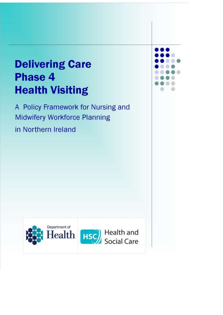# **Delivering Care Phase 4 Health Visiting**

A Policy Framework for Nursing and **Midwifery Workforce Planning** in Northern Ireland



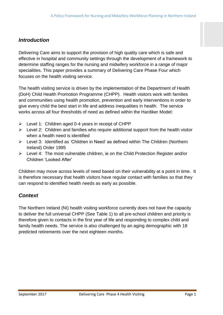# *Introduction*

Delivering Care aims to support the provision of high quality care which is safe and effective in hospital and community settings through the development of a framework to determine staffing ranges for the nursing and midwifery workforce in a range of major specialities. This paper provides a summary of Delivering Care Phase Four which focuses on the health visiting service.

The health visiting service is driven by the implementation of the Department of Health (DoH) Child Health Promotion Programme (CHPP). Health visitors work with families and communities using health promotion, prevention and early interventions in order to give every child the best start in life and address inequalities in health. The service works across all four thresholds of need as defined within the Hardiker Model:

- $\triangleright$  Level 1: Children aged 0-4 years in receipt of CHPP
- $\triangleright$  Level 2: Children and families who require additional support from the health visitor when a health need is identified
- Level 3: Identified as 'Children in Need' as defined within The Children (Northern Ireland) Order 1995
- $\triangleright$  Level 4: The most vulnerable children, ie on the Child Protection Register and/or Children 'Looked After'

Children may move across levels of need based on their vulnerability at a point in time. It is therefore necessary that health visitors have regular contact with families so that they can respond to identified health needs as early as possible.

# *Context*

The Northern Ireland (NI) health visiting workforce currently does not have the capacity to deliver the full universal CHPP (See Table 1) to all pre-school children and priority is therefore given to contacts in the first year of life and responding to complex child and family health needs. The service is also challenged by an aging demographic with 18 predicted retirements over the next eighteen months.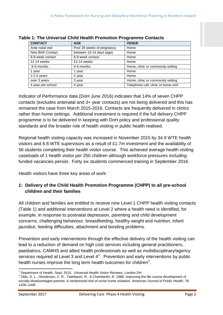| <b>CONTACT</b>    | <b>AGE</b>                 | <b>VENUE</b>                         |
|-------------------|----------------------------|--------------------------------------|
| Ante natal visit  | Post 28 weeks of pregnancy | Home                                 |
| New Birth Contact | between 10-14 days (age)   | Home                                 |
| 6-8 week contact  | 6-8 week contact           | Home                                 |
| 12 14 weeks       | 12-14 weeks                | Home                                 |
| 6-9 months        | 6-9 months                 | Home, clinic or community setting    |
| 1 year            | 1 year                     | Home                                 |
| $2-2.5$ years     | 2 year                     | Home                                 |
| over 3 years      | 3 year                     | Home, clinic or community setting    |
| 4 year pre-school | 4 year                     | Telephone call, clinic or home visit |

|  | Table 1: The Universal Child Health Promotion Programme Contacts |  |  |
|--|------------------------------------------------------------------|--|--|
|  |                                                                  |  |  |

Indicator of Performance data (DoH June 2016) indicates that 14% of seven CHPP contacts (excludes antenatal and 3+ year contacts) are not being delivered and this has remained the case from March 2015-2016. Contacts are frequently delivered in clinics rather than home settings. Additional investment is required if the full delivery CHPP programme is to be delivered in keeping with DoH policy and professional quality standards and the broader role of health visiting in public health realised.

Regional health visiting capacity was increased in November 2015 by 34.9 WTE health visitors and 6.8 WTE supervisors as a result of £1.7m investment and the availability of 56 students completing their health visitor course. This achieved average health visiting caseloads of 1 health visitor per 250 children although workforce pressures including funded vacancies persist. Forty six students commenced training in September 2016.

Health visitors have three key areas of work:

#### **1: Delivery of the Child Health Promotion Programme (CHPP) to all pre-school children and their families**

All children and families are entitled to receive nine Level 1 CHPP health visiting contacts (Table 1) and additional interventions at Level 2 where a health need is identified, for example, in response to postnatal depression, parenting and child development concerns, challenging behaviour, breastfeeding, healthy weight and nutrition, infant jaundice, feeding difficulties, attachment and bonding problems.

Prevention and early interventions through the effective delivery of the health visiting can lead to a reduction of demand on high cost services including general practitioners, paediatrics, CAMHS and allied health professionals as well as multidisciplinary/agency services required at Level 3 and Level  $4^1$ . Prevention and early interventions by public health nurses improve the long term health outcomes for children<sup>2</sup>.

 $\overline{\phantom{a}}$ <sup>1</sup> Department of Health, Sept, 2015, *Universal Health Visitor Reviews,* London DH

 $2$  Olds, D. L., Henderson, C. R., Tatelbaum, R., & Chamberlin, R. 1988. Improving the life course development of socially disadvantaged parents: A randomized trial of nurse home visitation. *American Journal of Public Health, 78, 1436–1445*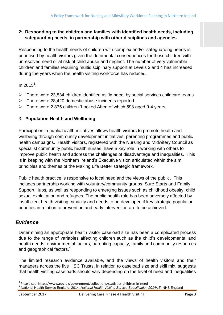#### **2: Responding to the children and families with identified health needs, including safeguarding needs, in partnership with other disciplines and agencies**

Responding to the health needs of children with complex and/or safeguarding needs is prioritised by health visitors given the detrimental consequences for those children with unresolved need or at risk of child abuse and neglect. The number of very vulnerable children and families requiring multidisciplinary support at Levels 3 and 4 has increased during the years when the health visiting workforce has reduced.

In 2015 $3$ :

- $\triangleright$  There were 23,834 children identified as 'in need' by social services childcare teams
- $\triangleright$  There were 28,420 domestic abuse incidents reported
- There were 2,875 children 'Looked After' of which 593 aged 0-4 years.

#### 3. **Population Health and Wellbeing**

Participation in public health initiatives allows health visitors to promote health and wellbeing through community development initiatives, parenting programmes and public health campaigns. Health visitors, registered with the Nursing and Midwifery Council as specialist community public health nurses, have a key role in working with others to improve public health and address the challenges of disadvantage and inequalities. This is in keeping with the Northern Ireland's Executive vision articulated within the aim, principles and themes of the Making Life Better strategic framework.

Public health practice is responsive to local need and the views of the public. This includes partnership working with voluntary/community groups, Sure Starts and Family Support Hubs, as well as responding to emerging issues such as childhood obesity, child sexual exploitation and refugees. The public health role has been adversely affected by insufficient health visiting capacity and needs to be developed if key strategic population priorities in relation to prevention and early intervention are to be achieved.

### *Evidence*

Determining an appropriate health visitor caseload size has been a complicated process due to the range of variables affecting children such as the child's developmental and health needs, environmental factors, parenting capacity, family and community resources and geographical factors.<sup>4</sup>

The limited research evidence available, and the views of health visitors and their managers across the five HSC Trusts, in relation to caseload size and skill mix, suggests that health visiting caseloads should vary depending on the level of need and inequalities

 $\overline{a}$ 

<sup>&</sup>lt;sup>3</sup> Please see: https://www.gov.uk/government/collections/statistics-children-in-need

<sup>4</sup> National Health Service England, 2014. *National Health Visiting Service Specification 2014/15*, NHS England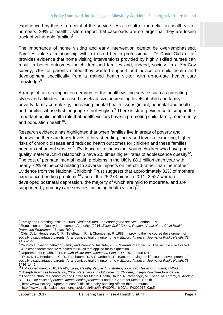experienced by those in receipt of the service. As a result of the deficit in health visitor numbers, 29% of health visitors report that caseloads are so large that they are losing track of vulnerable families<sup>5</sup>.

The importance of home visiting and early intervention cannot be over-emphasised. Families value a relationship with a trusted health professional<sup>6</sup>. Dr David Olds et al<sup>7</sup> provides evidence that home visiting interventions provided by highly skilled nurses can result in better outcomes for children and families and, indeed, society. In a YouGov survey, 76% of parents stated they wanted support and advice on child health and development specifically from a trained health visitor with up-to-date health care knowledge<sup>8</sup>.

A range of factors impact on demand for the health visiting service such as parenting styles and attitudes, increased caseload size, increasing levels of child and family poverty, family complexity, increasing mental health issues (infant, perinatal and adult) and families whose first language is not English.<sup>9</sup> There is strong evidence to support the important public health role that health visitors have in promoting child, family, community and population health $^{10}$ .

Research evidence has highlighted that when families live in areas of poverty and deprivation there are lower levels of breastfeeding, increased levels of smoking, higher risks of chronic disease and reduced health outcomes for children and these families need an enhanced service<sup>11</sup>. Evidence also shows that young children who have poor quality maternal/child relationship have 2.5 times higher rates of adolescence obesity<sup>12</sup>. The cost of perinatal mental health problems in the UK is £8.1 billion each year with nearly 72% of the cost relating to adverse impacts on the child rather than the mother<sup>13</sup>. Evidence from the National Childbirth Trust suggests that approximately 32% of mothers experience bonding problems<sup>14</sup> and of the 25,273 births in 2011, 2,527 women developed postnatal depression, the majority of which are mild to moderate, and are supported by primary care services including health visiting<sup>15</sup>.

 5 Family and Parenting Institute, 2008. *Health visitors – an endangered species*, London, FPI

<sup>6</sup> Regulation and Quality Improvement Authority, (2016*).Every Child Counts Regional Audit of the Child Health Promotion Programme,* Belfast RQIA

 $^7$  Olds, D. L., Henderson, C. R., Tatelbaum, R., & Chamberlin, R. 1988. Improving the life course development of socially disadvantaged parents: A randomized trial of nurse home visitation. *American Journal of Public Health, 78,* 

*<sup>1436–1445</sup>*. 8 YouGov survey on behalf of Family and Parenting Institute, 2007, 'Parents of Under 5s', The sample size totalled 5,422 respondents who were asked to tick all that applied for this question.

<sup>9</sup> Department of Health, 2011, *Health Visitor Implementation Plan 2011–15*, London DH

<sup>&</sup>lt;sup>10</sup> Olds, D. L., Henderson, C. R., Tatelbaum, R., & Chamberlin, R. 1988. Improving the life course development of socially disadvantaged parents: A randomized trial of nurse home visitation. *American Journal of Public Health*, 78, 1436–1445

<sup>11</sup> HM Government, 2010, *Healthy Lives, Healthy People: Our strategy for Public Health in England*, HMSO

<sup>12</sup> Joseph Rowntree Foundation, 2007*. Parenting and Outcomes for Children*, Joseph Rowntree Foundation

<sup>&</sup>lt;sup>13</sup> London School of Economics and Centre for Mental Health, Bauer, A. Parsonage, M. Knapp, M. Lemmi, V. Adelaja,

B. 2014, *The costs of perinatal mental health problems*, London, Centre for Mental Health

https://www.nct.org.uk/press-release/difficulties-baby-bonding-affects-third-uk-mums <sup>15</sup> http://www.publichealth.hscni.net/sites/default/files/IMH%20Plan%20April%202016\_0.pdf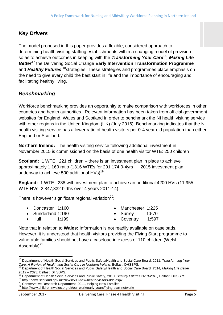# *Key Drivers*

The model proposed in this paper provides a flexible, considered approach to determining health visiting staffing establishments within a changing model of provision so as to achieve outcomes in keeping with the *Transforming Your Care<sup>16</sup> , Making Life Better<sup>17</sup>* the Delivering Social Change **Early Intervention Transformation Programme** and *Healthy Futures* <sup>18</sup>strategies. These strategies and programmes place emphasis on the need to give every child the best start in life and the importance of encouraging and facilitating healthy living.

# *Benchmarking*

Workforce benchmarking provides an opportunity to make comparison with workforces in other countries and health authorities. Relevant information has been taken from official government websites for England, Wales and Scotland in order to benchmark the NI health visiting service with other regions in the United Kingdom (UK) (July 2016). Benchmarking indicates that the NI health visiting service has a lower ratio of health visitors per 0-4 year old population than either England or Scotland.

**Northern Ireland:** The health visiting service following additional investment in November 2015 is commissioned on the basis of one health visitor WTE: 250 children

**Scotland:** 1 WTE : 221 children – there is an investment plan in place to achieve approximately 1:160 ratio (1316 WTEs for 291,174 0-4yrs + 2015 investment plan underway to achieve 500 additional  $HVs$ <sup>19</sup>

**England:** 1 WTE : 238 with investment plan to achieve an additional 4200 HVs (11,955 WTE HVs: 2,847,332 births over 4 years 2011-14).

There is however significant regional variation<sup>20</sup>:

- Doncaster 1:160
- Sunderland 1:190

Manchester 1:225

- Hull 1:199
- Surrey 1:570 Coventry 1:597
- Note that in relation to **Wales:** Information is not readily available on caseloads. However, it is understood that health visitors providing the Flying Start programme to vulnerable families should not have a caseload in excess of 110 children (Welsh Assembly) $^{21}$ .

 $\overline{\phantom{a}}$ <sup>16</sup> Department of Health Social Services and Public Safety/Health and Social Care Board. 2011. *Transforming Your Care. A Review of Health and Social Care in Northern Ireland*. Belfast, DHSSPS.

<sup>17</sup> Department of Health Social Services and Public Safety/Health and Social Care Board*, 2014, Making Life Better 2013 – 2023,* Belfast, DHSSPS.

<sup>18</sup> Department of Health Social Services and Public Safety, 2010. *Healthy Futures 2010-2015,* Belfast, DHSSPS.

<sup>19</sup> http://news.scotland.gov.uk/News/500-new-health-visitors-ddc.aspx

<sup>20</sup> Conservative Research Department, 2011, Helping New Families

<sup>21</sup> http://www.childreninwales.org.uk/our-work/early-years/flying-start-network/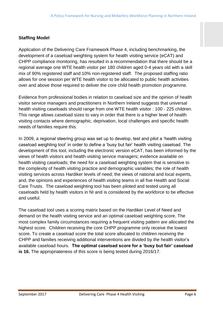#### **Staffing Model**

Application of the Delivering Care Framework Phase 4, including benchmarking, the development of a caseload weighting system for health visiting service (eCAT) and CHPP compliance monitoring, has resulted in a recommendation that there should be a regional average one WTE health visitor per 180 children aged 0-4 years old with a skill mix of 90% registered staff and 10% non-registered staff. The proposed staffing ratio allows for one session per WTE health visitor to be allocated to public health activities over and above those required to deliver the core child health promotion programme.

Evidence from professional bodies in relation to caseload size and the opinion of health visitor service managers and practitioners in Northern Ireland suggests that universal health visiting caseloads should range from one WTE health visitor : 100 - 225 children. This range allows caseload sizes to vary in order that there is a higher level of health visiting contacts where demographic, deprivation, local challenges and specific health needs of families require this.

In 2009, a regional steering group was set up to develop, test and pilot a 'health visiting caseload weighting tool' in order to define a 'busy but fair' health visiting caseload. The development of this tool, including the electronic version eCAT, has been informed by the views of health visitors and health visiting service managers; evidence available on health visiting caseloads; the need for a caseload weighting system that is sensitive to the complexity of health visiting practice and demographic variables; the role of health visiting services across Hardiker levels of need; the views of national and local experts, and, the opinions and experiences of health visiting teams in all five Health and Social Care Trusts. The caseload weighting tool has been piloted and tested using all caseloads held by health visitors in NI and is considered by the workforce to be effective and useful.

The caseload tool uses a scoring matrix based on the Hardiker Level of Need and demand on the health visiting service and an optimal caseload weighting score. The most complex family circumstances requiring a frequent visiting pattern are allocated the highest score. Children receiving the core CHPP programme only receive the lowest score. To create a caseload score the total score allocated to children receiving the CHPP and families receiving additional interventions are divided by the health visitor's available caseload hours. **The optimal caseload score for a 'busy but fair' caseload is 16.** The appropriateness of this score is being tested during 2016/17.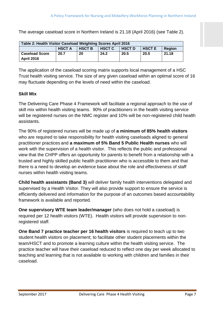The average caseload score in Northern Ireland is 21.18 (April 2016) (see Table 2).

| Table 2: Health Visitor Caseload Weighting Scores April 2016 |               |               |               |               |               |        |
|--------------------------------------------------------------|---------------|---------------|---------------|---------------|---------------|--------|
|                                                              | <b>HSCT A</b> | <b>HSCT B</b> | <b>HSCT C</b> | <b>HSCT D</b> | <b>HSCT E</b> | Region |
| <b>Caseload Score</b>                                        | 20.7          | 20            | 24.2          | 20.5          | 20.5          | 21.18  |
| <b>April 2016</b>                                            |               |               |               |               |               |        |

The application of the caseload scoring matrix supports local management of a HSC Trust health visiting service. The size of any given caseload within an optimal score of 16 may fluctuate depending on the levels of need within the caseload.

#### **Skill Mix**

The Delivering Care Phase 4 Framework will facilitate a regional approach to the use of skill mix within health visiting teams. 90% of practitioners in the health visiting service will be registered nurses on the NMC register and 10% will be non-registered child health assistants.

The 90% of registered nurses will be made up of **a minimum of 85% health visitors** who are required to take responsibility for health visiting caseloads aligned to general practitioner practices and **a maximum of 5% Band 5 Public Health nurses** who will work with the supervision of a health visitor. This reflects the public and professional view that the CHPP offers an opportunity for parents to benefit from a relationship with a trusted and highly skilled public health practitioner who is accessible to them and that there is a need to develop an evidence base about the role and effectiveness of staff nurses within health visiting teams.

**Child health assistants (Band 3)** will deliver family health interventions delegated and supervised by a Health Visitor. They will also provide support to ensure the service is efficiently delivered and information for the purpose of an outcomes based accountability framework is available and reported.

**One supervisory WTE team leader/manager** (who does not hold a caseload) is required per 12 health visitors (WTE). Health visitors will provide supervision to nonregistered staff.

**One Band 7 practice teacher per 16 health visitors** is required to teach up to two student health visitors on placement; to facilitate other student placements within the team/HSCT and to promote a learning culture within the health visiting service. The practice teacher will have their caseload reduced to reflect one day per week allocated to teaching and learning that is not available to working with children and families in their caseload.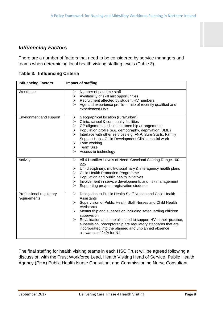## *Influencing Factors*

There are a number of factors that need to be considered by service managers and teams when determining local health visiting staffing levels (Table 3).

| <b>Influencing Factors</b>              | Impact of staffing                                                                                                                                                                                                                                                                                                                                                                                                                                                                                                          |
|-----------------------------------------|-----------------------------------------------------------------------------------------------------------------------------------------------------------------------------------------------------------------------------------------------------------------------------------------------------------------------------------------------------------------------------------------------------------------------------------------------------------------------------------------------------------------------------|
| Workforce                               | Number of part time staff<br>≻<br>Availability of skill mix opportunities<br>$\blacktriangleright$<br>Recruitment affected by student HV numbers<br>≻<br>Age and experience profile – ratio of recently qualified and<br>⋗<br>experienced HVs                                                                                                                                                                                                                                                                               |
| Environment and support                 | Geographical location (rural/urban)<br>➤<br>Clinic, school & community facilities<br>$\blacktriangleright$<br>GP alignment and local partnership arrangements<br>$\blacktriangleright$<br>Population profile (e.g. demography, deprivation, BME)<br>$\blacktriangleright$<br>Interface with other services e.g. FNP, Sure Starts, Family<br>➤<br>Support Hubs, Child Development Clinics, social work<br>Lone working<br>$\blacktriangleright$<br>$\triangleright$ Team Size<br>Access to technology<br>≻                   |
| Activity                                | All 4 Hardiker Levels of Need: Caseload Scoring Range 100-<br>≻<br>225<br>Uni-disciplinary, multi-disciplinary & interagency health plans<br>➤<br><b>Child Health Promotion Programme</b><br>≻<br>Population and public health initiatives<br>≻<br>Involvement in service developments and risk management<br>$\blacktriangleright$<br>Supporting pre/post-registration students<br>$\blacktriangleright$                                                                                                                   |
| Professional regulatory<br>requirements | Delegation to Public Health Staff Nurses and Child Health<br>➤<br><b>Assistants</b><br>Supervision of Public Health Staff Nurses and Child Health<br>≻<br>Assistants<br>Mentorship and supervision including safeguarding children<br>$\blacktriangleright$<br>supervision<br>Revalidation and time allocated to support HV in their practice,<br>$\blacktriangleright$<br>supervision, preceptorship are regulatory standards that are<br>incorporated into the planned and unplanned absence<br>allowance of 24% for N.I. |

**Table 3: Influencing Criteria** 

The final staffing for health visiting teams in each HSC Trust will be agreed following a discussion with the Trust Workforce Lead, Health Visiting Head of Service, Public Health Agency (PHA) Public Health Nurse Consultant and Commissioning Nurse Consultant.